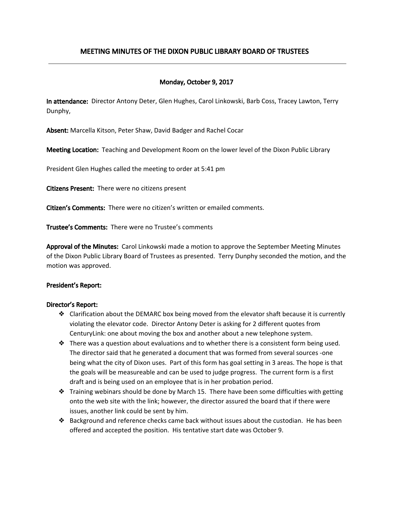# MEETING MINUTES OF THE DIXON PUBLIC LIBRARY BOARD OF TRUSTEES

## Monday, October 9, 2017

In attendance: Director Antony Deter, Glen Hughes, Carol Linkowski, Barb Coss, Tracey Lawton, Terry Dunphy,

Absent: Marcella Kitson, Peter Shaw, David Badger and Rachel Cocar

Meeting Location: Teaching and Development Room on the lower level of the Dixon Public Library

President Glen Hughes called the meeting to order at 5:41 pm

Citizens Present: There were no citizens present

Citizen's Comments: There were no citizen's written or emailed comments.

Trustee's Comments: There were no Trustee's comments

Approval of the Minutes: Carol Linkowski made a motion to approve the September Meeting Minutes of the Dixon Public Library Board of Trustees as presented. Terry Dunphy seconded the motion, and the motion was approved.

#### President's Report:

#### Director's Report:

- ❖ Clarification about the DEMARC box being moved from the elevator shaft because it is currently violating the elevator code. Director Antony Deter is asking for 2 different quotes from CenturyLink: one about moving the box and another about a new telephone system.
- ❖ There was a question about evaluations and to whether there is a consistent form being used. The director said that he generated a document that was formed from several sources -one being what the city of Dixon uses. Part of this form has goal setting in 3 areas. The hope is that the goals will be measureable and can be used to judge progress. The current form is a first draft and is being used on an employee that is in her probation period.
- ❖ Training webinars should be done by March 15. There have been some difficulties with getting onto the web site with the link; however, the director assured the board that if there were issues, another link could be sent by him.
- ❖ Background and reference checks came back without issues about the custodian. He has been offered and accepted the position. His tentative start date was October 9.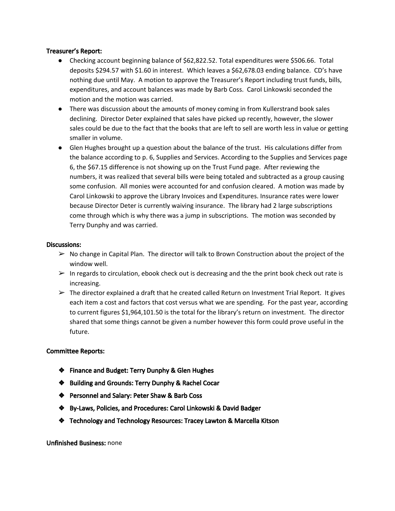#### Treasurer's Report:

- Checking account beginning balance of \$62,822.52. Total expenditures were \$506.66. Total deposits \$294.57 with \$1.60 in interest. Which leaves a \$62,678.03 ending balance. CD's have nothing due until May. A motion to approve the Treasurer's Report including trust funds, bills, expenditures, and account balances was made by Barb Coss. Carol Linkowski seconded the motion and the motion was carried.
- There was discussion about the amounts of money coming in from Kullerstrand book sales declining. Director Deter explained that sales have picked up recently, however, the slower sales could be due to the fact that the books that are left to sell are worth less in value or getting smaller in volume.
- Glen Hughes brought up a question about the balance of the trust. His calculations differ from the balance according to p. 6, Supplies and Services. According to the Supplies and Services page 6, the \$67.15 difference is not showing up on the Trust Fund page. After reviewing the numbers, it was realized that several bills were being totaled and subtracted as a group causing some confusion. All monies were accounted for and confusion cleared. A motion was made by Carol Linkowski to approve the Library Invoices and Expenditures. Insurance rates were lower because Director Deter is currently waiving insurance. The library had 2 large subscriptions come through which is why there was a jump in subscriptions. The motion was seconded by Terry Dunphy and was carried.

#### Discussions:

- $\triangleright$  No change in Capital Plan. The director will talk to Brown Construction about the project of the window well.
- $\triangleright$  In regards to circulation, ebook check out is decreasing and the the print book check out rate is increasing.
- $\triangleright$  The director explained a draft that he created called Return on Investment Trial Report. It gives each item a cost and factors that cost versus what we are spending. For the past year, according to current figures \$1,964,101.50 is the total for the library's return on investment. The director shared that some things cannot be given a number however this form could prove useful in the future.

### Committee Reports:

- ❖ Finance and Budget: Terry Dunphy & Glen Hughes
- ❖ Building and Grounds: Terry Dunphy & Rachel Cocar
- ❖ Personnel and Salary: Peter Shaw & Barb Coss
- ❖ By-Laws, Policies, and Procedures: Carol Linkowski & David Badger
- ❖ Technology and Technology Resources: Tracey Lawton & Marcella Kitson

#### Unfinished Business: none